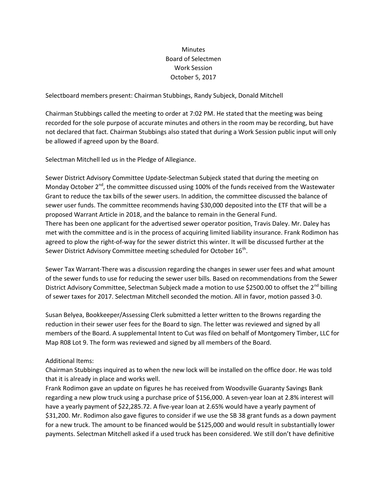## **Minutes** Board of Selectmen Work Session October 5, 2017

Selectboard members present: Chairman Stubbings, Randy Subjeck, Donald Mitchell

Chairman Stubbings called the meeting to order at 7:02 PM. He stated that the meeting was being recorded for the sole purpose of accurate minutes and others in the room may be recording, but have not declared that fact. Chairman Stubbings also stated that during a Work Session public input will only be allowed if agreed upon by the Board.

Selectman Mitchell led us in the Pledge of Allegiance.

Sewer District Advisory Committee Update-Selectman Subjeck stated that during the meeting on Monday October  $2^{nd}$ , the committee discussed using 100% of the funds received from the Wastewater Grant to reduce the tax bills of the sewer users. In addition, the committee discussed the balance of sewer user funds. The committee recommends having \$30,000 deposited into the ETF that will be a proposed Warrant Article in 2018, and the balance to remain in the General Fund. There has been one applicant for the advertised sewer operator position, Travis Daley. Mr. Daley has met with the committee and is in the process of acquiring limited liability insurance. Frank Rodimon has agreed to plow the right-of-way for the sewer district this winter. It will be discussed further at the Sewer District Advisory Committee meeting scheduled for October  $16^\text{th}$ .

Sewer Tax Warrant-There was a discussion regarding the changes in sewer user fees and what amount of the sewer funds to use for reducing the sewer user bills. Based on recommendations from the Sewer District Advisory Committee, Selectman Subjeck made a motion to use \$2500.00 to offset the  $2^{nd}$  billing of sewer taxes for 2017. Selectman Mitchell seconded the motion. All in favor, motion passed 3-0.

Susan Belyea, Bookkeeper/Assessing Clerk submitted a letter written to the Browns regarding the reduction in their sewer user fees for the Board to sign. The letter was reviewed and signed by all members of the Board. A supplemental Intent to Cut was filed on behalf of Montgomery Timber, LLC for Map R08 Lot 9. The form was reviewed and signed by all members of the Board.

## Additional Items:

Chairman Stubbings inquired as to when the new lock will be installed on the office door. He was told that it is already in place and works well.

Frank Rodimon gave an update on figures he has received from Woodsville Guaranty Savings Bank regarding a new plow truck using a purchase price of \$156,000. A seven-year loan at 2.8% interest will have a yearly payment of \$22,285.72. A five-year loan at 2.65% would have a yearly payment of \$31,200. Mr. Rodimon also gave figures to consider if we use the SB 38 grant funds as a down payment for a new truck. The amount to be financed would be \$125,000 and would result in substantially lower payments. Selectman Mitchell asked if a used truck has been considered. We still don't have definitive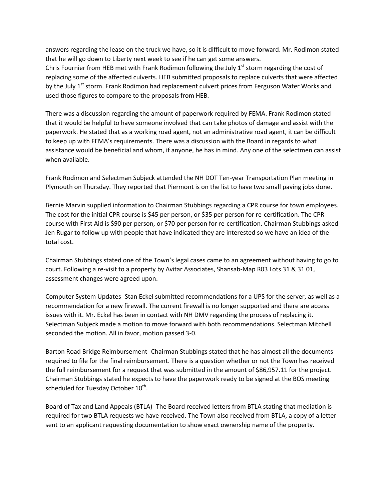answers regarding the lease on the truck we have, so it is difficult to move forward. Mr. Rodimon stated that he will go down to Liberty next week to see if he can get some answers. Chris Fournier from HEB met with Frank Rodimon following the July  $1<sup>st</sup>$  storm regarding the cost of replacing some of the affected culverts. HEB submitted proposals to replace culverts that were affected

by the July 1<sup>st</sup> storm. Frank Rodimon had replacement culvert prices from Ferguson Water Works and used those figures to compare to the proposals from HEB.

There was a discussion regarding the amount of paperwork required by FEMA. Frank Rodimon stated that it would be helpful to have someone involved that can take photos of damage and assist with the paperwork. He stated that as a working road agent, not an administrative road agent, it can be difficult to keep up with FEMA's requirements. There was a discussion with the Board in regards to what assistance would be beneficial and whom, if anyone, he has in mind. Any one of the selectmen can assist when available.

Frank Rodimon and Selectman Subjeck attended the NH DOT Ten-year Transportation Plan meeting in Plymouth on Thursday. They reported that Piermont is on the list to have two small paving jobs done.

Bernie Marvin supplied information to Chairman Stubbings regarding a CPR course for town employees. The cost for the initial CPR course is \$45 per person, or \$35 per person for re-certification. The CPR course with First Aid is \$90 per person, or \$70 per person for re-certification. Chairman Stubbings asked Jen Rugar to follow up with people that have indicated they are interested so we have an idea of the total cost.

Chairman Stubbings stated one of the Town's legal cases came to an agreement without having to go to court. Following a re-visit to a property by Avitar Associates, Shansab-Map R03 Lots 31 & 31 01, assessment changes were agreed upon.

Computer System Updates- Stan Eckel submitted recommendations for a UPS for the server, as well as a recommendation for a new firewall. The current firewall is no longer supported and there are access issues with it. Mr. Eckel has been in contact with NH DMV regarding the process of replacing it. Selectman Subjeck made a motion to move forward with both recommendations. Selectman Mitchell seconded the motion. All in favor, motion passed 3-0.

Barton Road Bridge Reimbursement- Chairman Stubbings stated that he has almost all the documents required to file for the final reimbursement. There is a question whether or not the Town has received the full reimbursement for a request that was submitted in the amount of \$86,957.11 for the project. Chairman Stubbings stated he expects to have the paperwork ready to be signed at the BOS meeting scheduled for Tuesday October  $10^{\text{th}}$ .

Board of Tax and Land Appeals (BTLA)- The Board received letters from BTLA stating that mediation is required for two BTLA requests we have received. The Town also received from BTLA, a copy of a letter sent to an applicant requesting documentation to show exact ownership name of the property.